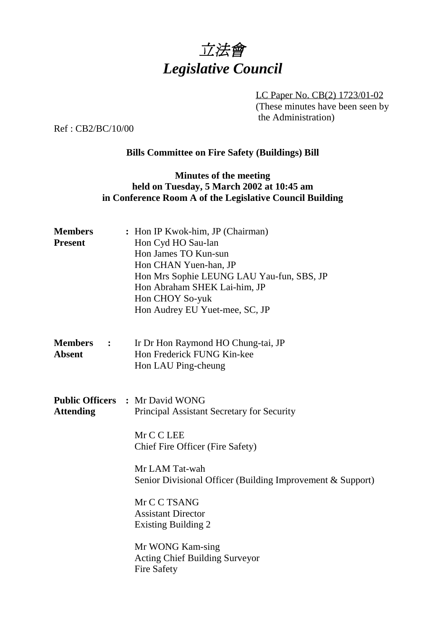

LC Paper No. CB(2) 1723/01-02 (These minutes have been seen by the Administration)

Ref : CB2/BC/10/00

# **Bills Committee on Fire Safety (Buildings) Bill**

# **Minutes of the meeting held on Tuesday, 5 March 2002 at 10:45 am in Conference Room A of the Legislative Council Building**

| <b>Members</b><br><b>Present</b>  | : Hon IP Kwok-him, JP (Chairman)<br>Hon Cyd HO Sau-lan<br>Hon James TO Kun-sun<br>Hon CHAN Yuen-han, JP<br>Hon Mrs Sophie LEUNG LAU Yau-fun, SBS, JP<br>Hon Abraham SHEK Lai-him, JP<br>Hon CHOY So-yuk<br>Hon Audrey EU Yuet-mee, SC, JP                                                                                                                                            |
|-----------------------------------|--------------------------------------------------------------------------------------------------------------------------------------------------------------------------------------------------------------------------------------------------------------------------------------------------------------------------------------------------------------------------------------|
| <b>Members</b> :<br><b>Absent</b> | Ir Dr Hon Raymond HO Chung-tai, JP<br>Hon Frederick FUNG Kin-kee<br>Hon LAU Ping-cheung                                                                                                                                                                                                                                                                                              |
| <b>Attending</b>                  | <b>Public Officers : Mr David WONG</b><br>Principal Assistant Secretary for Security<br>Mr C C LEE<br>Chief Fire Officer (Fire Safety)<br>Mr LAM Tat-wah<br>Senior Divisional Officer (Building Improvement & Support)<br>Mr C C TSANG<br><b>Assistant Director</b><br><b>Existing Building 2</b><br>Mr WONG Kam-sing<br><b>Acting Chief Building Surveyor</b><br><b>Fire Safety</b> |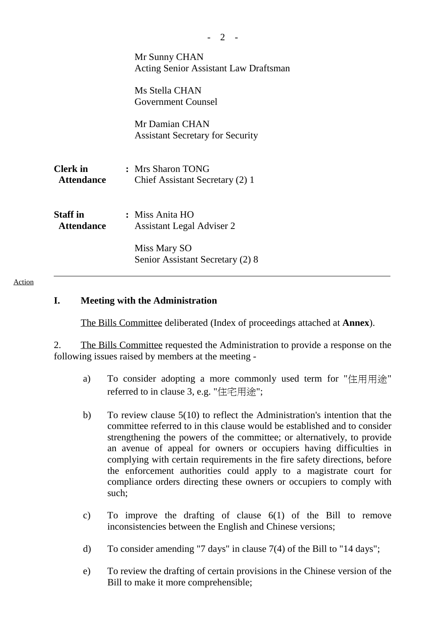| Mr Sunny CHAN<br>Acting Senior Assistant Law Draftsman    |
|-----------------------------------------------------------|
| Ms Stella CHAN<br><b>Government Counsel</b>               |
| Mr Damian CHAN<br><b>Assistant Secretary for Security</b> |
| : Mrs Sharon TONG<br>Chief Assistant Secretary (2) 1      |
| : Miss Anita HO<br><b>Assistant Legal Adviser 2</b>       |
| Miss Mary SO<br>Senior Assistant Secretary (2) 8          |
| <b>Attendance</b>                                         |

#### Action

### **I. Meeting with the Administration**

The Bills Committee deliberated (Index of proceedings attached at **Annex**).

2. The Bills Committee requested the Administration to provide a response on the following issues raised by members at the meeting -

- a) To consider adopting a more commonly used term for "住用用途" referred to in clause 3, e.g. "住宅用途";
- b) To review clause 5(10) to reflect the Administration's intention that the committee referred to in this clause would be established and to consider strengthening the powers of the committee; or alternatively, to provide an avenue of appeal for owners or occupiers having difficulties in complying with certain requirements in the fire safety directions, before the enforcement authorities could apply to a magistrate court for compliance orders directing these owners or occupiers to comply with such;
- c) To improve the drafting of clause 6(1) of the Bill to remove inconsistencies between the English and Chinese versions;
- d) To consider amending "7 days" in clause 7(4) of the Bill to "14 days";
- e) To review the drafting of certain provisions in the Chinese version of the Bill to make it more comprehensible;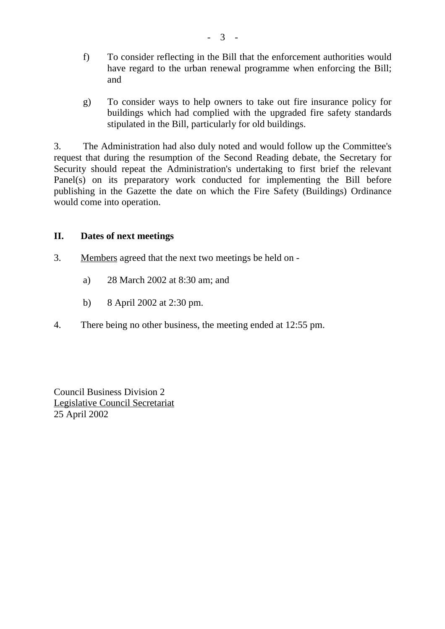- f) To consider reflecting in the Bill that the enforcement authorities would have regard to the urban renewal programme when enforcing the Bill; and
- g) To consider ways to help owners to take out fire insurance policy for buildings which had complied with the upgraded fire safety standards stipulated in the Bill, particularly for old buildings.

3. The Administration had also duly noted and would follow up the Committee's request that during the resumption of the Second Reading debate, the Secretary for Security should repeat the Administration's undertaking to first brief the relevant Panel(s) on its preparatory work conducted for implementing the Bill before publishing in the Gazette the date on which the Fire Safety (Buildings) Ordinance would come into operation.

# **II. Dates of next meetings**

- 3. Members agreed that the next two meetings be held on
	- a) 28 March 2002 at 8:30 am; and
	- b) 8 April 2002 at 2:30 pm.
- 4. There being no other business, the meeting ended at 12:55 pm.

Council Business Division 2 Legislative Council Secretariat 25 April 2002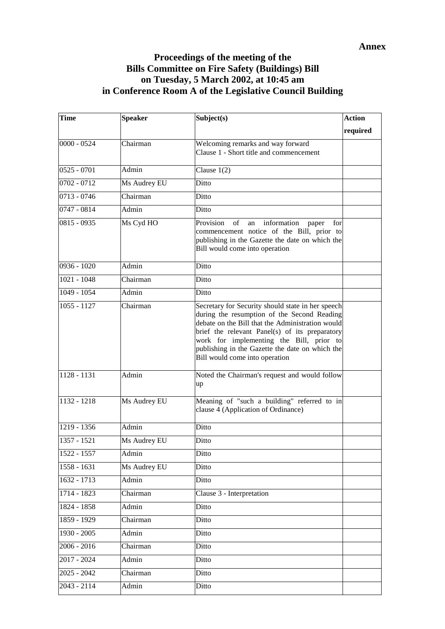## **Proceedings of the meeting of the Bills Committee on Fire Safety (Buildings) Bill on Tuesday, 5 March 2002, at 10:45 am in Conference Room A of the Legislative Council Building**

| <b>Time</b>   | <b>Speaker</b> | Subject(s)                                                                                                                                                                                                                                                                                                                              | <b>Action</b> |
|---------------|----------------|-----------------------------------------------------------------------------------------------------------------------------------------------------------------------------------------------------------------------------------------------------------------------------------------------------------------------------------------|---------------|
|               |                |                                                                                                                                                                                                                                                                                                                                         | required      |
| $0000 - 0524$ | Chairman       | Welcoming remarks and way forward<br>Clause 1 - Short title and commencement                                                                                                                                                                                                                                                            |               |
| $0525 - 0701$ | Admin          | Clause $1(2)$                                                                                                                                                                                                                                                                                                                           |               |
| 0702 - 0712   | Ms Audrey EU   | Ditto                                                                                                                                                                                                                                                                                                                                   |               |
| $0713 - 0746$ | Chairman       | Ditto                                                                                                                                                                                                                                                                                                                                   |               |
| 0747 - 0814   | Admin          | Ditto                                                                                                                                                                                                                                                                                                                                   |               |
| 0815 - 0935   | Ms Cyd HO      | of<br>information<br>Provision<br>an<br>paper<br>for<br>commencement notice of the Bill, prior to<br>publishing in the Gazette the date on which the<br>Bill would come into operation                                                                                                                                                  |               |
| $0936 - 1020$ | Admin          | Ditto                                                                                                                                                                                                                                                                                                                                   |               |
| $1021 - 1048$ | Chairman       | Ditto                                                                                                                                                                                                                                                                                                                                   |               |
| 1049 - 1054   | Admin          | Ditto                                                                                                                                                                                                                                                                                                                                   |               |
| $1055 - 1127$ | Chairman       | Secretary for Security should state in her speech<br>during the resumption of the Second Reading<br>debate on the Bill that the Administration would<br>brief the relevant Panel(s) of its preparatory<br>work for implementing the Bill, prior to<br>publishing in the Gazette the date on which the<br>Bill would come into operation |               |
| $1128 - 1131$ | Admin          | Noted the Chairman's request and would follow<br>up                                                                                                                                                                                                                                                                                     |               |
| 1132 - 1218   | Ms Audrey EU   | Meaning of "such a building" referred to in<br>clause 4 (Application of Ordinance)                                                                                                                                                                                                                                                      |               |
| 1219 - 1356   | Admin          | Ditto                                                                                                                                                                                                                                                                                                                                   |               |
| 1357 - 1521   | Ms Audrey EU   | Ditto                                                                                                                                                                                                                                                                                                                                   |               |
| 1522 - 1557   | Admin          | Ditto                                                                                                                                                                                                                                                                                                                                   |               |
| 1558 - 1631   | Ms Audrey EU   | Ditto                                                                                                                                                                                                                                                                                                                                   |               |
| 1632 - 1713   | Admin          | Ditto                                                                                                                                                                                                                                                                                                                                   |               |
| 1714 - 1823   | Chairman       | Clause 3 - Interpretation                                                                                                                                                                                                                                                                                                               |               |
| 1824 - 1858   | Admin          | Ditto                                                                                                                                                                                                                                                                                                                                   |               |
| 1859 - 1929   | Chairman       | Ditto                                                                                                                                                                                                                                                                                                                                   |               |
| 1930 - 2005   | Admin          | Ditto                                                                                                                                                                                                                                                                                                                                   |               |
| $2006 - 2016$ | Chairman       | Ditto                                                                                                                                                                                                                                                                                                                                   |               |
| 2017 - 2024   | Admin          | Ditto                                                                                                                                                                                                                                                                                                                                   |               |
| $2025 - 2042$ | Chairman       | Ditto                                                                                                                                                                                                                                                                                                                                   |               |
| 2043 - 2114   | Admin          | Ditto                                                                                                                                                                                                                                                                                                                                   |               |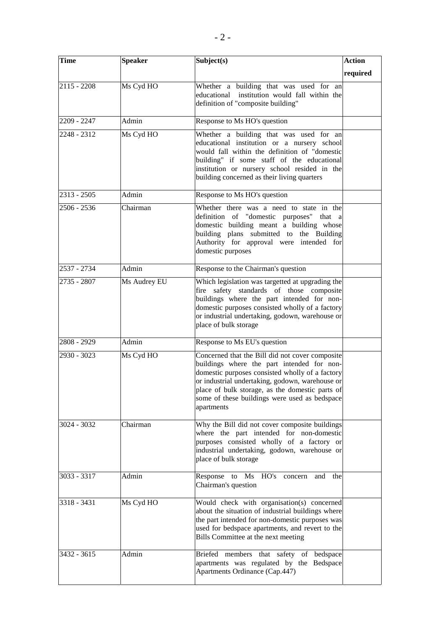| <b>Time</b>   | <b>Speaker</b> | Subject(s)                                                                                                                                                                                                                                                                                                            | <b>Action</b> |
|---------------|----------------|-----------------------------------------------------------------------------------------------------------------------------------------------------------------------------------------------------------------------------------------------------------------------------------------------------------------------|---------------|
|               |                |                                                                                                                                                                                                                                                                                                                       | required      |
| $2115 - 2208$ | Ms Cyd HO      | Whether a building that was used for an<br>educational institution would fall within the<br>definition of "composite building"                                                                                                                                                                                        |               |
| 2209 - 2247   | Admin          | Response to Ms HO's question                                                                                                                                                                                                                                                                                          |               |
| 2248 - 2312   | Ms Cyd HO      | Whether a building that was used for an<br>educational institution or a nursery school<br>would fall within the definition of "domestic<br>building" if some staff of the educational<br>institution or nursery school resided in the<br>building concerned as their living quarters                                  |               |
| 2313 - 2505   | Admin          | Response to Ms HO's question                                                                                                                                                                                                                                                                                          |               |
| 2506 - 2536   | Chairman       | Whether there was a need to state in the<br>definition of "domestic purposes" that a<br>domestic building meant a building whose<br>building plans submitted to the Building<br>Authority for approval were intended for<br>domestic purposes                                                                         |               |
| 2537 - 2734   | Admin          | Response to the Chairman's question                                                                                                                                                                                                                                                                                   |               |
| 2735 - 2807   | Ms Audrey EU   | Which legislation was targetted at upgrading the<br>fire safety standards of those composite<br>buildings where the part intended for non-<br>domestic purposes consisted wholly of a factory<br>or industrial undertaking, godown, warehouse or<br>place of bulk storage                                             |               |
| 2808 - 2929   | Admin          | Response to Ms EU's question                                                                                                                                                                                                                                                                                          |               |
| 2930 - 3023   | Ms Cyd HO      | Concerned that the Bill did not cover composite<br>buildings where the part intended for non-<br>domestic purposes consisted wholly of a factory<br>or industrial undertaking, godown, warehouse or<br>place of bulk storage, as the domestic parts of<br>some of these buildings were used as bedspace<br>apartments |               |
| 3024 - 3032   | Chairman       | Why the Bill did not cover composite buildings<br>where the part intended for non-domestic<br>purposes consisted wholly of a factory or<br>industrial undertaking, godown, warehouse or<br>place of bulk storage                                                                                                      |               |
| 3033 - 3317   | Admin          | Response to Ms HO's concern<br>and the<br>Chairman's question                                                                                                                                                                                                                                                         |               |
| 3318 - 3431   | Ms Cyd HO      | Would check with organisation(s) concerned<br>about the situation of industrial buildings where<br>the part intended for non-domestic purposes was<br>used for bedspace apartments, and revert to the<br>Bills Committee at the next meeting                                                                          |               |
| 3432 - 3615   | Admin          | Briefed members that safety of bedspace<br>apartments was regulated by the Bedspace<br>Apartments Ordinance (Cap.447)                                                                                                                                                                                                 |               |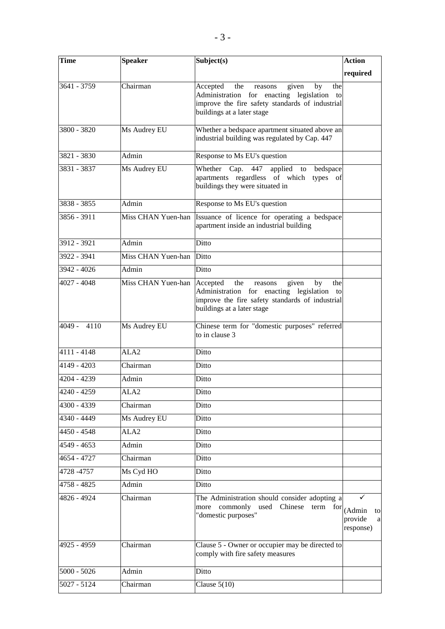| <b>Time</b>   | <b>Speaker</b>     | Subject(s)                                                                                                                                                                      | <b>Action</b>                                              |
|---------------|--------------------|---------------------------------------------------------------------------------------------------------------------------------------------------------------------------------|------------------------------------------------------------|
|               |                    |                                                                                                                                                                                 | required                                                   |
| 3641 - 3759   | Chairman           | Accepted<br>the<br>given<br>reasons<br>by<br>the<br>Administration for enacting legislation to<br>improve the fire safety standards of industrial<br>buildings at a later stage |                                                            |
| 3800 - 3820   | Ms Audrey EU       | Whether a bedspace apartment situated above an<br>industrial building was regulated by Cap. 447                                                                                 |                                                            |
| 3821 - 3830   | Admin              | Response to Ms EU's question                                                                                                                                                    |                                                            |
| 3831 - 3837   | Ms Audrey EU       | Whether Cap.<br>447<br>applied<br>bedspace<br>to<br>apartments regardless of which<br>types of<br>buildings they were situated in                                               |                                                            |
| 3838 - 3855   | Admin              | Response to Ms EU's question                                                                                                                                                    |                                                            |
| 3856 - 3911   | Miss CHAN Yuen-han | Issuance of licence for operating a bedspace<br>apartment inside an industrial building                                                                                         |                                                            |
| 3912 - 3921   | Admin              | Ditto                                                                                                                                                                           |                                                            |
| 3922 - 3941   | Miss CHAN Yuen-han | Ditto                                                                                                                                                                           |                                                            |
| 3942 - 4026   | Admin              | Ditto                                                                                                                                                                           |                                                            |
| 4027 - 4048   | Miss CHAN Yuen-han | Accepted<br>the<br>reasons<br>given<br>by<br>the<br>Administration for enacting legislation to<br>improve the fire safety standards of industrial<br>buildings at a later stage |                                                            |
| $4049 - 4110$ | Ms Audrey EU       | Chinese term for "domestic purposes" referred<br>to in clause 3                                                                                                                 |                                                            |
| 4111 - 4148   | ALA <sub>2</sub>   | Ditto                                                                                                                                                                           |                                                            |
| 4149 - 4203   | Chairman           | Ditto                                                                                                                                                                           |                                                            |
| 4204 - 4239   | Admin              | Ditto                                                                                                                                                                           |                                                            |
| 4240 - 4259   | ALA <sub>2</sub>   | Ditto                                                                                                                                                                           |                                                            |
| 4300 - 4339   | Chairman           | Ditto                                                                                                                                                                           |                                                            |
| 4340 - 4449   | Ms Audrey EU       | Ditto                                                                                                                                                                           |                                                            |
| 4450 - 4548   | ALA <sub>2</sub>   | Ditto                                                                                                                                                                           |                                                            |
| 4549 - 4653   | Admin              | Ditto                                                                                                                                                                           |                                                            |
| 4654 - 4727   | Chairman           | Ditto                                                                                                                                                                           |                                                            |
| 4728 - 4757   | Ms Cyd HO          | Ditto                                                                                                                                                                           |                                                            |
| 4758 - 4825   | Admin              | Ditto                                                                                                                                                                           |                                                            |
| 4826 - 4924   | Chairman           | The Administration should consider adopting a<br>commonly used Chinese term<br>more<br>"domestic purposes"                                                                      | $for$ <sub>(Admin</sub><br>to<br>provide<br>a<br>response) |
| 4925 - 4959   | Chairman           | Clause 5 - Owner or occupier may be directed to<br>comply with fire safety measures                                                                                             |                                                            |
| $5000 - 5026$ | Admin              | Ditto                                                                                                                                                                           |                                                            |
| 5027 - 5124   | Chairman           | Clause $5(10)$                                                                                                                                                                  |                                                            |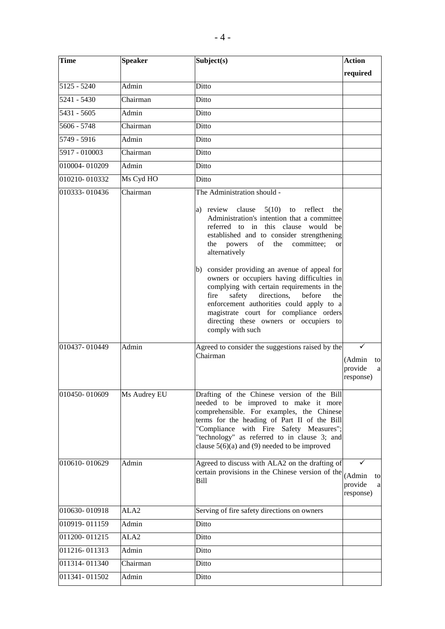| <b>Time</b>    | <b>Speaker</b>   | Subject(s)                                                                                                                                                                                                                                                                                                                                                                                                                                                                                                                                                                                                         | <b>Action</b>                                  |
|----------------|------------------|--------------------------------------------------------------------------------------------------------------------------------------------------------------------------------------------------------------------------------------------------------------------------------------------------------------------------------------------------------------------------------------------------------------------------------------------------------------------------------------------------------------------------------------------------------------------------------------------------------------------|------------------------------------------------|
|                |                  |                                                                                                                                                                                                                                                                                                                                                                                                                                                                                                                                                                                                                    | required                                       |
| 5125 - 5240    | Admin            | Ditto                                                                                                                                                                                                                                                                                                                                                                                                                                                                                                                                                                                                              |                                                |
| 5241 - 5430    | Chairman         | Ditto                                                                                                                                                                                                                                                                                                                                                                                                                                                                                                                                                                                                              |                                                |
| 5431 - 5605    | Admin            | Ditto                                                                                                                                                                                                                                                                                                                                                                                                                                                                                                                                                                                                              |                                                |
| $5606 - 5748$  | Chairman         | Ditto                                                                                                                                                                                                                                                                                                                                                                                                                                                                                                                                                                                                              |                                                |
| $5749 - 5916$  | Admin            | Ditto                                                                                                                                                                                                                                                                                                                                                                                                                                                                                                                                                                                                              |                                                |
| 5917 - 010003  | Chairman         | Ditto                                                                                                                                                                                                                                                                                                                                                                                                                                                                                                                                                                                                              |                                                |
| 010004-010209  | Admin            | Ditto                                                                                                                                                                                                                                                                                                                                                                                                                                                                                                                                                                                                              |                                                |
| 010210-010332  | Ms Cyd HO        | Ditto                                                                                                                                                                                                                                                                                                                                                                                                                                                                                                                                                                                                              |                                                |
| 010333-010436  | Chairman         | The Administration should -                                                                                                                                                                                                                                                                                                                                                                                                                                                                                                                                                                                        |                                                |
|                |                  | a) review clause<br>5(10)<br>to reflect<br>the<br>Administration's intention that a committee<br>referred to in this clause would be<br>established and to consider strengthening<br>committee;<br>powers<br>of<br>the<br>the<br><sub>or</sub><br>alternatively<br>b) consider providing an avenue of appeal for<br>owners or occupiers having difficulties in<br>complying with certain requirements in the<br>directions,<br>fire<br>safety<br>before<br>the<br>enforcement authorities could apply to a<br>magistrate court for compliance orders<br>directing these owners or occupiers to<br>comply with such |                                                |
| 1010437-010449 | Admin            | Agreed to consider the suggestions raised by the<br>Chairman                                                                                                                                                                                                                                                                                                                                                                                                                                                                                                                                                       | ✓<br>(Admin<br>to<br>provide<br>a<br>response) |
| 010450-010609  | Ms Audrey EU     | Drafting of the Chinese version of the Bill<br>needed to be improved to make it more<br>comprehensible. For examples, the Chinese<br>terms for the heading of Part II of the Bill<br>"Compliance with Fire Safety Measures";<br>"technology" as referred to in clause 3; and<br>clause $5(6)(a)$ and (9) needed to be improved                                                                                                                                                                                                                                                                                     |                                                |
| 010610-010629  | Admin            | Agreed to discuss with ALA2 on the drafting of<br>certain provisions in the Chinese version of the<br>Bill                                                                                                                                                                                                                                                                                                                                                                                                                                                                                                         | (Admin<br>to<br>provide<br>a<br>response)      |
| 010630-010918  | ALA <sub>2</sub> | Serving of fire safety directions on owners                                                                                                                                                                                                                                                                                                                                                                                                                                                                                                                                                                        |                                                |
| 010919-011159  | Admin            | Ditto                                                                                                                                                                                                                                                                                                                                                                                                                                                                                                                                                                                                              |                                                |
| 011200-011215  | ALA <sub>2</sub> | Ditto                                                                                                                                                                                                                                                                                                                                                                                                                                                                                                                                                                                                              |                                                |
| 011216-011313  | Admin            | Ditto                                                                                                                                                                                                                                                                                                                                                                                                                                                                                                                                                                                                              |                                                |
| 011314-011340  | Chairman         | Ditto                                                                                                                                                                                                                                                                                                                                                                                                                                                                                                                                                                                                              |                                                |
| 011341-011502  | Admin            | Ditto                                                                                                                                                                                                                                                                                                                                                                                                                                                                                                                                                                                                              |                                                |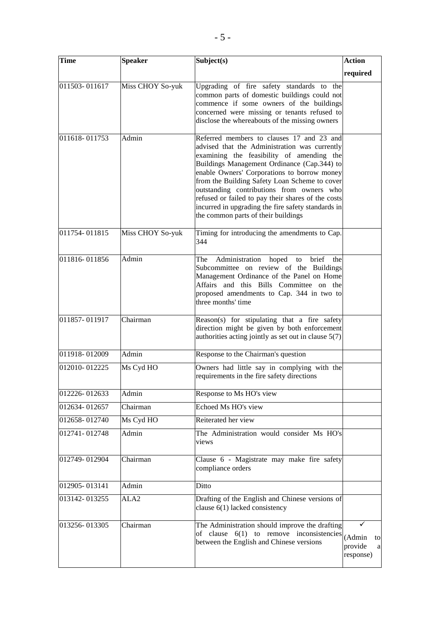| <b>Time</b>   | <b>Speaker</b>   | Subject(s)                                                                                                                                                                                                                                                                                                                                                                                                                                                                             | <b>Action</b>                             |
|---------------|------------------|----------------------------------------------------------------------------------------------------------------------------------------------------------------------------------------------------------------------------------------------------------------------------------------------------------------------------------------------------------------------------------------------------------------------------------------------------------------------------------------|-------------------------------------------|
|               |                  |                                                                                                                                                                                                                                                                                                                                                                                                                                                                                        | required                                  |
| 011503-011617 | Miss CHOY So-yuk | Upgrading of fire safety standards to the<br>common parts of domestic buildings could not<br>commence if some owners of the buildings<br>concerned were missing or tenants refused to<br>disclose the whereabouts of the missing owners                                                                                                                                                                                                                                                |                                           |
| 011618-011753 | Admin            | Referred members to clauses 17 and 23 and<br>advised that the Administration was currently<br>examining the feasibility of amending the<br>Buildings Management Ordinance (Cap.344) to<br>enable Owners' Corporations to borrow money<br>from the Building Safety Loan Scheme to cover<br>outstanding contributions from owners who<br>refused or failed to pay their shares of the costs<br>incurred in upgrading the fire safety standards in<br>the common parts of their buildings |                                           |
| 011754-011815 | Miss CHOY So-yuk | Timing for introducing the amendments to Cap.<br>344                                                                                                                                                                                                                                                                                                                                                                                                                                   |                                           |
| 011816-011856 | Admin            | Administration hoped to<br>brief the<br>The<br>Subcommittee on review of the Buildings<br>Management Ordinance of the Panel on Home<br>Affairs and this Bills Committee on the<br>proposed amendments to Cap. 344 in two to<br>three months' time                                                                                                                                                                                                                                      |                                           |
| 011857-011917 | Chairman         | Reason(s) for stipulating that a fire safety<br>direction might be given by both enforcement<br>authorities acting jointly as set out in clause 5(7)                                                                                                                                                                                                                                                                                                                                   |                                           |
| 011918-012009 | Admin            | Response to the Chairman's question                                                                                                                                                                                                                                                                                                                                                                                                                                                    |                                           |
| 012010-012225 | Ms Cyd HO        | Owners had little say in complying with the<br>requirements in the fire safety directions                                                                                                                                                                                                                                                                                                                                                                                              |                                           |
| 012226-012633 | Admin            | Response to Ms HO's view                                                                                                                                                                                                                                                                                                                                                                                                                                                               |                                           |
| 012634-012657 | Chairman         | Echoed Ms HO's view                                                                                                                                                                                                                                                                                                                                                                                                                                                                    |                                           |
| 012658-012740 | Ms Cyd HO        | Reiterated her view                                                                                                                                                                                                                                                                                                                                                                                                                                                                    |                                           |
| 012741-012748 | Admin            | The Administration would consider Ms HO's<br>views                                                                                                                                                                                                                                                                                                                                                                                                                                     |                                           |
| 012749-012904 | Chairman         | Clause 6 - Magistrate may make fire safety<br>compliance orders                                                                                                                                                                                                                                                                                                                                                                                                                        |                                           |
| 012905-013141 | Admin            | Ditto                                                                                                                                                                                                                                                                                                                                                                                                                                                                                  |                                           |
| 013142-013255 | ALA2             | Drafting of the English and Chinese versions of<br>clause 6(1) lacked consistency                                                                                                                                                                                                                                                                                                                                                                                                      |                                           |
| 013256-013305 | Chairman         | The Administration should improve the drafting<br>of clause $6(1)$ to remove inconsistencies<br>between the English and Chinese versions                                                                                                                                                                                                                                                                                                                                               | (Admin<br>to<br>provide<br>a<br>response) |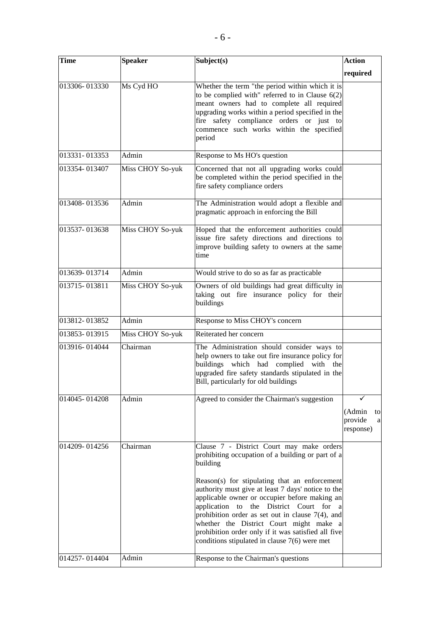| <b>Time</b>   | <b>Speaker</b>   | Subject(s)                                                                                                                                                                                                                                                                                                                                                                                                            | <b>Action</b>                             |
|---------------|------------------|-----------------------------------------------------------------------------------------------------------------------------------------------------------------------------------------------------------------------------------------------------------------------------------------------------------------------------------------------------------------------------------------------------------------------|-------------------------------------------|
|               |                  |                                                                                                                                                                                                                                                                                                                                                                                                                       | required                                  |
| 013306-013330 | Ms Cyd HO        | Whether the term "the period within which it is<br>to be complied with" referred to in Clause $6(2)$<br>meant owners had to complete all required<br>upgrading works within a period specified in the<br>fire safety compliance orders or just to<br>commence such works within the specified<br>period                                                                                                               |                                           |
| 013331-013353 | Admin            | Response to Ms HO's question                                                                                                                                                                                                                                                                                                                                                                                          |                                           |
| 013354-013407 | Miss CHOY So-yuk | Concerned that not all upgrading works could<br>be completed within the period specified in the<br>fire safety compliance orders                                                                                                                                                                                                                                                                                      |                                           |
| 013408-013536 | Admin            | The Administration would adopt a flexible and<br>pragmatic approach in enforcing the Bill                                                                                                                                                                                                                                                                                                                             |                                           |
| 013537-013638 | Miss CHOY So-yuk | Hoped that the enforcement authorities could<br>issue fire safety directions and directions to<br>improve building safety to owners at the same<br>time                                                                                                                                                                                                                                                               |                                           |
| 013639-013714 | Admin            | Would strive to do so as far as practicable                                                                                                                                                                                                                                                                                                                                                                           |                                           |
| 013715-013811 | Miss CHOY So-yuk | Owners of old buildings had great difficulty in<br>taking out fire insurance policy for their<br>buildings                                                                                                                                                                                                                                                                                                            |                                           |
| 013812-013852 | Admin            | Response to Miss CHOY's concern                                                                                                                                                                                                                                                                                                                                                                                       |                                           |
| 013853-013915 | Miss CHOY So-yuk | Reiterated her concern                                                                                                                                                                                                                                                                                                                                                                                                |                                           |
| 013916-014044 | Chairman         | The Administration should consider ways to<br>help owners to take out fire insurance policy for<br>buildings which had complied with the<br>upgraded fire safety standards stipulated in the<br>Bill, particularly for old buildings                                                                                                                                                                                  |                                           |
| 014045-014208 | Admin            | Agreed to consider the Chairman's suggestion                                                                                                                                                                                                                                                                                                                                                                          | (Admin<br>to<br>provide<br>a<br>response) |
| 014209-014256 | Chairman         | Clause 7 - District Court may make orders<br>prohibiting occupation of a building or part of a<br>building<br>Reason(s) for stipulating that an enforcement<br>authority must give at least 7 days' notice to the<br>applicable owner or occupier before making an<br>the District Court for<br>application to<br>a<br>prohibition order as set out in clause $7(4)$ , and<br>whether the District Court might make a |                                           |
| 014257-014404 | Admin            | prohibition order only if it was satisfied all five<br>conditions stipulated in clause $7(6)$ were met<br>Response to the Chairman's questions                                                                                                                                                                                                                                                                        |                                           |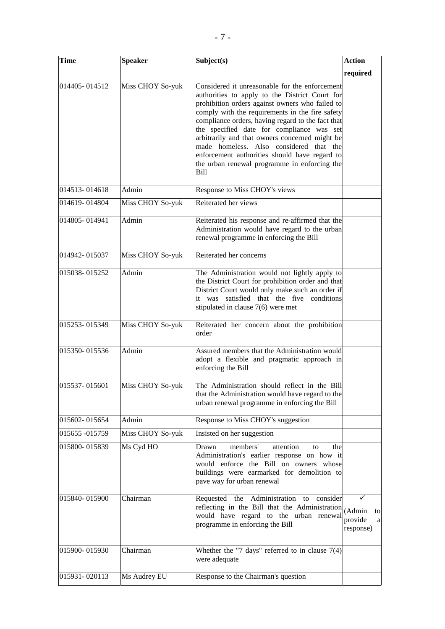| <b>Time</b>    | <b>Speaker</b>   | Subject(s)                                                                                                                                                                                                                                                                                                                                                                                                                                                                                                     | <b>Action</b>                   |
|----------------|------------------|----------------------------------------------------------------------------------------------------------------------------------------------------------------------------------------------------------------------------------------------------------------------------------------------------------------------------------------------------------------------------------------------------------------------------------------------------------------------------------------------------------------|---------------------------------|
|                |                  |                                                                                                                                                                                                                                                                                                                                                                                                                                                                                                                | required                        |
| 014405-014512  | Miss CHOY So-yuk | Considered it unreasonable for the enforcement<br>authorities to apply to the District Court for<br>prohibition orders against owners who failed to<br>comply with the requirements in the fire safety<br>compliance orders, having regard to the fact that<br>the specified date for compliance was set<br>arbitrarily and that owners concerned might be<br>made homeless. Also considered that the<br>enforcement authorities should have regard to<br>the urban renewal programme in enforcing the<br>Bill |                                 |
| 014513-014618  | Admin            | Response to Miss CHOY's views                                                                                                                                                                                                                                                                                                                                                                                                                                                                                  |                                 |
| 014619-014804  | Miss CHOY So-yuk | Reiterated her views                                                                                                                                                                                                                                                                                                                                                                                                                                                                                           |                                 |
| 014805-014941  | Admin            | Reiterated his response and re-affirmed that the<br>Administration would have regard to the urban<br>renewal programme in enforcing the Bill                                                                                                                                                                                                                                                                                                                                                                   |                                 |
| 014942-015037  | Miss CHOY So-yuk | Reiterated her concerns                                                                                                                                                                                                                                                                                                                                                                                                                                                                                        |                                 |
| 015038-015252  | Admin            | The Administration would not lightly apply to<br>the District Court for prohibition order and that<br>District Court would only make such an order if<br>it was satisfied that the five conditions<br>stipulated in clause $7(6)$ were met                                                                                                                                                                                                                                                                     |                                 |
| 015253-015349  | Miss CHOY So-yuk | Reiterated her concern about the prohibition<br>order                                                                                                                                                                                                                                                                                                                                                                                                                                                          |                                 |
| 015350-015536  | Admin            | Assured members that the Administration would<br>adopt a flexible and pragmatic approach in<br>enforcing the Bill                                                                                                                                                                                                                                                                                                                                                                                              |                                 |
| 015537-015601  | Miss CHOY So-yuk | The Administration should reflect in the Bill<br>that the Administration would have regard to the<br>urban renewal programme in enforcing the Bill                                                                                                                                                                                                                                                                                                                                                             |                                 |
| 015602-015654  | Admin            | Response to Miss CHOY's suggestion                                                                                                                                                                                                                                                                                                                                                                                                                                                                             |                                 |
| 015655 -015759 | Miss CHOY So-yuk | Insisted on her suggestion                                                                                                                                                                                                                                                                                                                                                                                                                                                                                     |                                 |
| 015800-015839  | Ms Cyd HO        | members'<br>attention<br>Drawn<br>to<br>the<br>Administration's earlier response on how it<br>would enforce the Bill on owners whose<br>buildings were earmarked for demolition to<br>pave way for urban renewal                                                                                                                                                                                                                                                                                               |                                 |
| 015840-015900  | Chairman         | Requested the Administration to<br>consider<br>reflecting in the Bill that the Administration (Admin<br>would have regard to the urban renewal<br>programme in enforcing the Bill                                                                                                                                                                                                                                                                                                                              | to<br>provide<br>a<br>response) |
| 015900-015930  | Chairman         | Whether the "7 days" referred to in clause $7(4)$<br>were adequate                                                                                                                                                                                                                                                                                                                                                                                                                                             |                                 |
| 015931-020113  | Ms Audrey EU     | Response to the Chairman's question                                                                                                                                                                                                                                                                                                                                                                                                                                                                            |                                 |